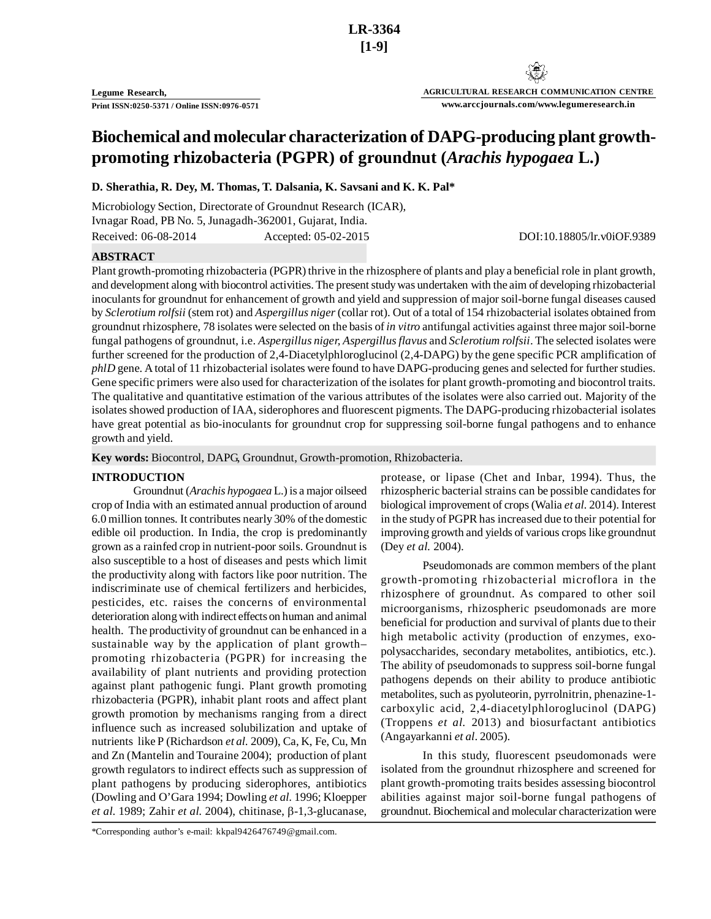**AGRICULTURAL RESEARCH COMMUNICATION CENTRE www.arccjournals.com/www.legumeresearch.in**

# **Biochemical and molecular characterization of DAPG-producing plant growthpromoting rhizobacteria (PGPR) of groundnut (***Arachis hypogaea* **L.)**

**D. Sherathia, R. Dey, M. Thomas, T. Dalsania, K. Savsani and K. K. Pal\***

Microbiology Section, Directorate of Groundnut Research (ICAR), Ivnagar Road, PB No. 5, Junagadh-362001, Gujarat, India. Received: 06-08-2014 Accepted: 05-02-2015 DOI:10.18805/lr.v0iOF.9389

## **ABSTRACT**

Plant growth-promoting rhizobacteria (PGPR) thrive in the rhizosphere of plants and play a beneficial role in plant growth, and development along with biocontrol activities. The present study was undertaken with the aim of developing rhizobacterial inoculants for groundnut for enhancement of growth and yield and suppression of major soil-borne fungal diseases caused by *Sclerotium rolfsii* (stem rot) and *Aspergillus niger* (collar rot). Out of a total of 154 rhizobacterial isolates obtained from groundnut rhizosphere, 78 isolates were selected on the basis of *in vitro* antifungal activities against three major soil-borne fungal pathogens of groundnut, i.e. *Aspergillus niger, Aspergillus flavus* and *Sclerotium rolfsii*. The selected isolates were further screened for the production of 2,4-Diacetylphloroglucinol (2,4-DAPG) by the gene specific PCR amplification of *phlD* gene. A total of 11 rhizobacterial isolates were found to have DAPG-producing genes and selected for further studies. Gene specific primers were also used for characterization of the isolates for plant growth-promoting and biocontrol traits. The qualitative and quantitative estimation of the various attributes of the isolates were also carried out. Majority of the isolates showed production of IAA, siderophores and fluorescent pigments. The DAPG-producing rhizobacterial isolates have great potential as bio-inoculants for groundnut crop for suppressing soil-borne fungal pathogens and to enhance growth and yield.

**Key words:** Biocontrol, DAPG, Groundnut, Growth-promotion, Rhizobacteria.

#### **INTRODUCTION**

Groundnut (*Arachis hypogaea* L.) is a major oilseed crop of India with an estimated annual production of around 6.0 million tonnes. It contributes nearly 30% of the domestic edible oil production. In India, the crop is predominantly grown as a rainfed crop in nutrient-poor soils. Groundnut is also susceptible to a host of diseases and pests which limit the productivity along with factors like poor nutrition. The indiscriminate use of chemical fertilizers and herbicides, pesticides, etc. raises the concerns of environmental deterioration along with indirect effects on human and animal health. The productivity of groundnut can be enhanced in a sustainable way by the application of plant growth– promoting rhizobacteria (PGPR) for increasing the availability of plant nutrients and providing protection against plant pathogenic fungi. Plant growth promoting rhizobacteria (PGPR), inhabit plant roots and affect plant growth promotion by mechanisms ranging from a direct influence such as increased solubilization and uptake of nutrients like P (Richardson *et al.* 2009), Ca, K, Fe, Cu, Mn and Zn (Mantelin and Touraine 2004); production of plant growth regulators to indirect effects such as suppression of plant pathogens by producing siderophores, antibiotics (Dowling and O'Gara 1994; Dowling *et al.* 1996; Kloepper *et al.* 1989; Zahir *et al.* 2004), chitinase,  $\beta$ -1,3-glucanase,

Pseudomonads are common members of the plant growth-promoting rhizobacterial microflora in the rhizosphere of groundnut. As compared to other soil microorganisms, rhizospheric pseudomonads are more beneficial for production and survival of plants due to their high metabolic activity (production of enzymes, exopolysaccharides, secondary metabolites, antibiotics, etc.). The ability of pseudomonads to suppress soil-borne fungal pathogens depends on their ability to produce antibiotic metabolites, such as pyoluteorin, pyrrolnitrin, phenazine-1 carboxylic acid, 2,4-diacetylphloroglucinol (DAPG) (Troppens *et al.* 2013) and biosurfactant antibiotics (Angayarkanni *et al*. 2005).

In this study, fluorescent pseudomonads were isolated from the groundnut rhizosphere and screened for plant growth-promoting traits besides assessing biocontrol abilities against major soil-borne fungal pathogens of groundnut. Biochemical and molecular characterization were

protease, or lipase (Chet and Inbar, 1994). Thus, the rhizospheric bacterial strains can be possible candidates for biological improvement of crops (Walia *et al.* 2014). Interest in the study of PGPR has increased due to their potential for improving growth and yields of various crops like groundnut (Dey *et al.* 2004).

<sup>\*</sup>Corresponding author's e-mail: kkpal9426476749@gmail.com.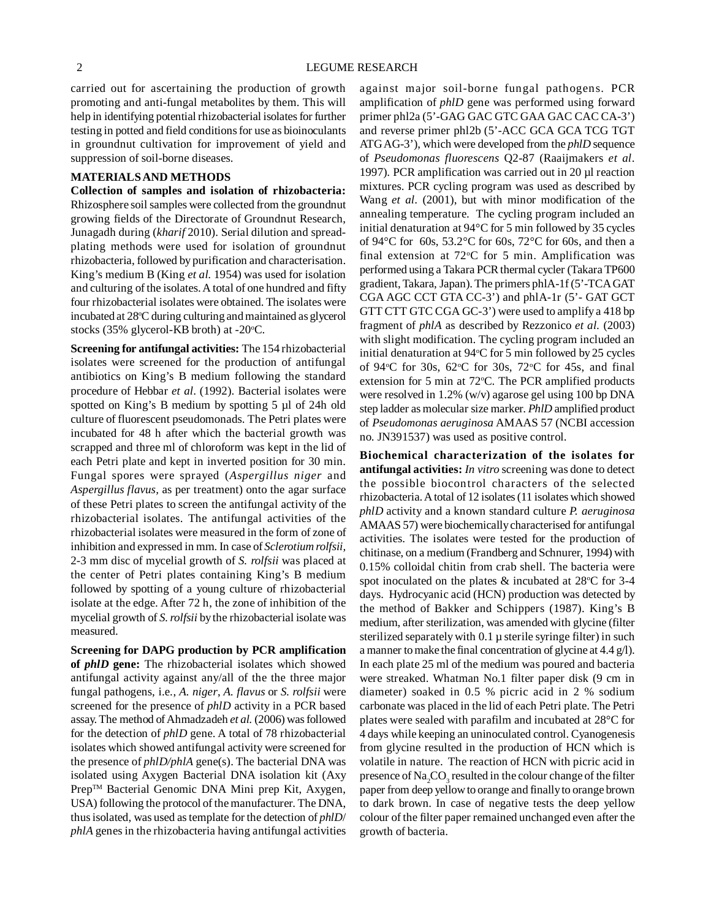carried out for ascertaining the production of growth promoting and anti-fungal metabolites by them. This will help in identifying potential rhizobacterial isolates for further testing in potted and field conditions for use as bioinoculants in groundnut cultivation for improvement of yield and suppression of soil-borne diseases.

#### **MATERIALS AND METHODS**

**Collection of samples and isolation of rhizobacteria:** Rhizosphere soil samples were collected from the groundnut growing fields of the Directorate of Groundnut Research, Junagadh during (*kharif* 2010). Serial dilution and spreadplating methods were used for isolation of groundnut rhizobacteria, followed by purification and characterisation. King's medium B (King *et al.* 1954) was used for isolation and culturing of the isolates. A total of one hundred and fifty four rhizobacterial isolates were obtained. The isolates were incubated at 28°C during culturing and maintained as glycerol stocks (35% glycerol-KB broth) at  $-20^{\circ}$ C.

**Screening for antifungal activities:** The 154 rhizobacterial isolates were screened for the production of antifungal antibiotics on King's B medium following the standard procedure of Hebbar *et al*. (1992). Bacterial isolates were spotted on King's B medium by spotting 5 µl of 24h old culture of fluorescent pseudomonads. The Petri plates were incubated for 48 h after which the bacterial growth was scrapped and three ml of chloroform was kept in the lid of each Petri plate and kept in inverted position for 30 min. Fungal spores were sprayed (*Aspergillus niger* and *Aspergillus flavus,* as per treatment) onto the agar surface of these Petri plates to screen the antifungal activity of the rhizobacterial isolates. The antifungal activities of the rhizobacterial isolates were measured in the form of zone of inhibition and expressed in mm. In case of *Sclerotium rolfsii,* 2-3 mm disc of mycelial growth of *S. rolfsii* was placed at the center of Petri plates containing King's B medium followed by spotting of a young culture of rhizobacterial isolate at the edge. After 72 h, the zone of inhibition of the mycelial growth of *S. rolfsii* by the rhizobacterial isolate was measured.

**Screening for DAPG production by PCR amplification of** *phlD* **gene:** The rhizobacterial isolates which showed antifungal activity against any/all of the the three major fungal pathogens, i.e., *A. niger*, *A. flavus* or *S. rolfsii* were screened for the presence of *phlD* activity in a PCR based assay. The method of Ahmadzadeh *et al.* (2006) was followed for the detection of *phlD* gene. A total of 78 rhizobacterial isolates which showed antifungal activity were screened for the presence of *phlD/phlA* gene(s). The bacterial DNA was isolated using Axygen Bacterial DNA isolation kit (Axy Prep™ Bacterial Genomic DNA Mini prep Kit, Axygen, USA) following the protocol of the manufacturer. The DNA, thus isolated, was used as template for the detection of *phlD*/ *phlA* genes in the rhizobacteria having antifungal activities

against major soil-borne fungal pathogens. PCR amplification of *phlD* gene was performed using forward primer phl2a (5'-GAG GAC GTC GAA GAC CAC CA-3') and reverse primer phl2b (5'-ACC GCA GCA TCG TGT ATG AG-3'), which were developed from the *phlD* sequence of *Pseudomonas fluorescens* Q2-87 (Raaijmakers *et al*. 1997)*.* PCR amplification was carried out in 20 µl reaction mixtures. PCR cycling program was used as described by Wang *et al*. (2001), but with minor modification of the annealing temperature. The cycling program included an initial denaturation at 94°C for 5 min followed by 35 cycles of 94 $\rm ^{\circ}C$  for 60s, 53.2 $\rm ^{\circ}C$  for 60s, 72 $\rm ^{\circ}C$  for 60s, and then a final extension at  $72^{\circ}$ C for 5 min. Amplification was performed using a Takara PCR thermal cycler (Takara TP600 gradient, Takara, Japan). The primers phlA-1f (5'-TCA GAT CGA AGC CCT GTA CC-3') and phlA-1r (5'- GAT GCT GTT CTT GTC CGA GC-3') were used to amplify a 418 bp fragment of *phlA* as described by Rezzonico *et al.* (2003) with slight modification. The cycling program included an initial denaturation at  $94^{\circ}$ C for 5 min followed by 25 cycles of 94 $\degree$ C for 30s, 62 $\degree$ C for 30s, 72 $\degree$ C for 45s, and final extension for 5 min at  $72^{\circ}$ C. The PCR amplified products were resolved in 1.2% (w/v) agarose gel using 100 bp DNA step ladder as molecular size marker. *PhlD* amplified product of *Pseudomonas aeruginosa* AMAAS 57 (NCBI accession no. JN391537) was used as positive control.

**Biochemical characterization of the isolates for antifungal activities:** *In vitro* screening was done to detect the possible biocontrol characters of the selected rhizobacteria. A total of 12 isolates (11 isolates which showed *phlD* activity and a known standard culture *P. aeruginosa* AMAAS 57) were biochemically characterised for antifungal activities. The isolates were tested for the production of chitinase, on a medium (Frandberg and Schnurer, 1994) with 0.15% colloidal chitin from crab shell. The bacteria were spot inoculated on the plates  $&$  incubated at 28 $^{\circ}$ C for 3-4 days. Hydrocyanic acid (HCN) production was detected by the method of Bakker and Schippers (1987). King's B medium, after sterilization, was amended with glycine (filter sterilized separately with 0.1 µ sterile syringe filter) in such a manner to make the final concentration of glycine at 4.4 g/l). In each plate 25 ml of the medium was poured and bacteria were streaked. Whatman No.1 filter paper disk (9 cm in diameter) soaked in 0.5 % picric acid in 2 % sodium carbonate was placed in the lid of each Petri plate. The Petri plates were sealed with parafilm and incubated at 28°C for 4 days while keeping an uninoculated control. Cyanogenesis from glycine resulted in the production of HCN which is volatile in nature. The reaction of HCN with picric acid in presence of  $\text{Na}_2\text{CO}_3$  resulted in the colour change of the filter paper from deep yellow to orange and finally to orange brown to dark brown. In case of negative tests the deep yellow colour of the filter paper remained unchanged even after the growth of bacteria.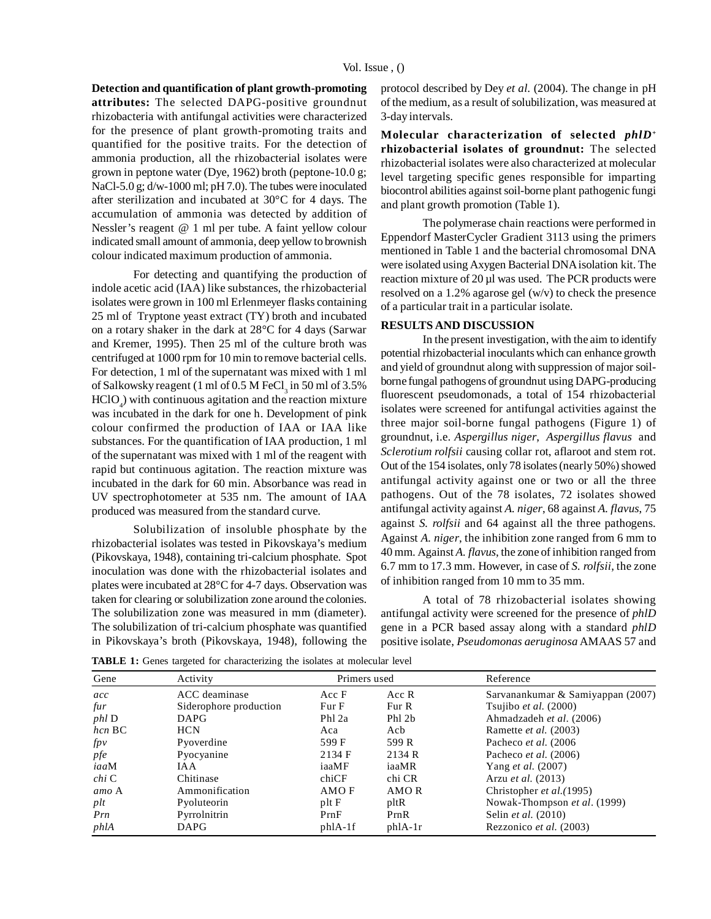#### Vol. Issue , ()

**Detection and quantification of plant growth-promoting attributes:** The selected DAPG-positive groundnut rhizobacteria with antifungal activities were characterized for the presence of plant growth-promoting traits and quantified for the positive traits. For the detection of ammonia production, all the rhizobacterial isolates were grown in peptone water (Dye, 1962) broth (peptone-10.0 g; NaCl-5.0 g; d/w-1000 ml; pH 7.0). The tubes were inoculated after sterilization and incubated at 30°C for 4 days. The accumulation of ammonia was detected by addition of Nessler's reagent @ 1 ml per tube. A faint yellow colour indicated small amount of ammonia, deep yellow to brownish colour indicated maximum production of ammonia.

For detecting and quantifying the production of indole acetic acid (IAA) like substances, the rhizobacterial isolates were grown in 100 ml Erlenmeyer flasks containing 25 ml of Tryptone yeast extract (TY) broth and incubated on a rotary shaker in the dark at 28°C for 4 days (Sarwar and Kremer, 1995). Then 25 ml of the culture broth was centrifuged at 1000 rpm for 10 min to remove bacterial cells. For detection, 1 ml of the supernatant was mixed with 1 ml of Salkowsky reagent (1 ml of 0.5 M FeCl $_3$  in 50 ml of 3.5%  $HClO<sub>4</sub>$ ) with continuous agitation and the reaction mixture was incubated in the dark for one h. Development of pink colour confirmed the production of IAA or IAA like substances. For the quantification of IAA production, 1 ml of the supernatant was mixed with 1 ml of the reagent with rapid but continuous agitation. The reaction mixture was incubated in the dark for 60 min. Absorbance was read in UV spectrophotometer at 535 nm. The amount of IAA produced was measured from the standard curve.

Solubilization of insoluble phosphate by the rhizobacterial isolates was tested in Pikovskaya's medium (Pikovskaya, 1948), containing tri-calcium phosphate. Spot inoculation was done with the rhizobacterial isolates and plates were incubated at 28°C for 4-7 days. Observation was taken for clearing or solubilization zone around the colonies. The solubilization zone was measured in mm (diameter). The solubilization of tri-calcium phosphate was quantified in Pikovskaya's broth (Pikovskaya, 1948), following the protocol described by Dey *et al.* (2004). The change in pH of the medium, as a result of solubilization, was measured at 3-day intervals.

**Molecular characterization of selected** *phlD<sup>+</sup>* **rhizobacterial isolates of groundnut:** The selected rhizobacterial isolates were also characterized at molecular level targeting specific genes responsible for imparting biocontrol abilities against soil-borne plant pathogenic fungi and plant growth promotion (Table 1).

The polymerase chain reactions were performed in Eppendorf MasterCycler Gradient 3113 using the primers mentioned in Table 1 and the bacterial chromosomal DNA were isolated using Axygen Bacterial DNA isolation kit. The reaction mixture of 20 µl was used. The PCR products were resolved on a 1.2% agarose gel (w/v) to check the presence of a particular trait in a particular isolate.

# **RESULTS AND DISCUSSION**

In the present investigation, with the aim to identify potential rhizobacterial inoculants which can enhance growth and yield of groundnut along with suppression of major soilborne fungal pathogens of groundnut using DAPG-producing fluorescent pseudomonads, a total of 154 rhizobacterial isolates were screened for antifungal activities against the three major soil-borne fungal pathogens (Figure 1) of groundnut, i.e. *Aspergillus niger*, *Aspergillus flavus* and *Sclerotium rolfsii* causing collar rot, aflaroot and stem rot. Out of the 154 isolates, only 78 isolates (nearly 50%) showed antifungal activity against one or two or all the three pathogens. Out of the 78 isolates, 72 isolates showed antifungal activity against *A. niger*, 68 against *A. flavus*, 75 against *S. rolfsii* and 64 against all the three pathogens. Against *A. niger*, the inhibition zone ranged from 6 mm to 40 mm. Against *A. flavus*, the zone of inhibition ranged from 6.7 mm to 17.3 mm. However, in case of *S. rolfsii*, the zone of inhibition ranged from 10 mm to 35 mm.

A total of 78 rhizobacterial isolates showing antifungal activity were screened for the presence of *phlD* gene in a PCR based assay along with a standard *phlD* positive isolate, *Pseudomonas aeruginosa* AMAAS 57 and

**TABLE 1:** Genes targeted for characterizing the isolates at molecular level

| Gene         | Activity               | Primers used      |          | Reference                         |
|--------------|------------------------|-------------------|----------|-----------------------------------|
| acc          | ACC deaminase          | Acc F             | Acc R    | Sarvanankumar & Samiyappan (2007) |
| fur          | Siderophore production | Fur F             | Fur R    | Tsujibo et al. (2000)             |
| <i>phl</i> D | <b>DAPG</b>            | Ph <sub>12a</sub> | Phl 2b   | Ahmadzadeh et al. (2006)          |
| $hcn$ BC     | <b>HCN</b>             | Aca               | Acb      | Ramette et al. (2003)             |
| f p v        | Pyoverdine             | 599 F             | 599 R    | Pacheco et al. (2006)             |
| pfe          | Pyocyanine             | 2134 F            | 2134 R   | Pacheco et al. (2006)             |
| iaaM         | IA A                   | iaaMF             | iaaMR    | Yang <i>et al.</i> (2007)         |
| chi C        | Chitinase              | chiCF             | chi CR   | Arzu <i>et al.</i> (2013)         |
| amo A        | Ammonification         | AMO F             | AMO R    | Christopher et al. (1995)         |
| plt          | Pyoluteorin            | pltF              | pltR     | Nowak-Thompson et al. (1999)      |
| Prn          | Pyrrolnitrin           | PrnF              | PrnR     | Selin <i>et al.</i> (2010)        |
| phlA         | DAPG                   | $phA-1f$          | $phA-1r$ | Rezzonico et al. (2003)           |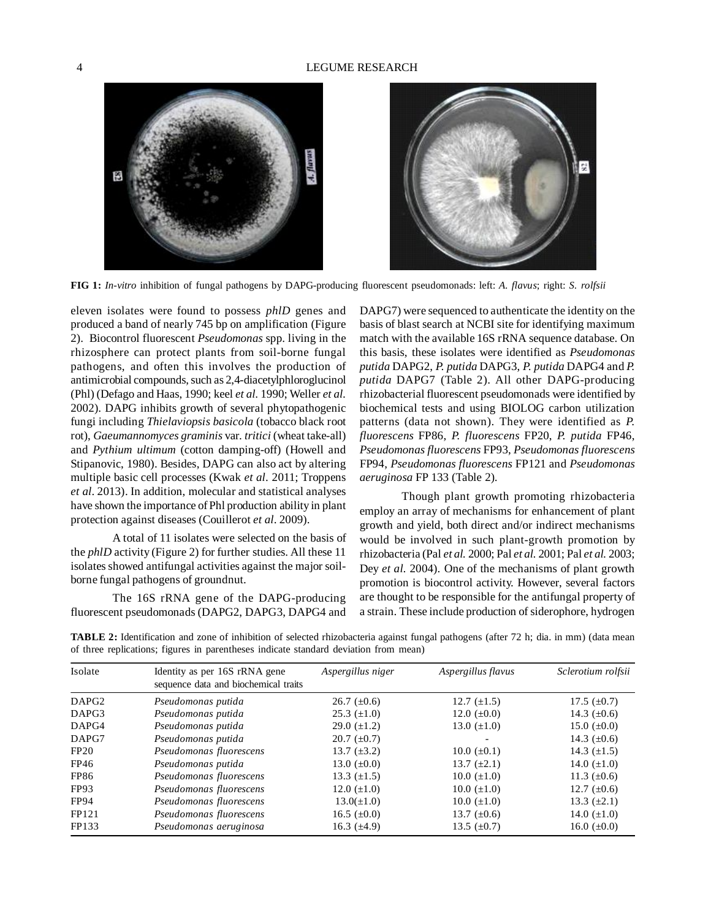

**FIG 1:** *In-vitro* inhibition of fungal pathogens by DAPG-producing fluorescent pseudomonads: left: *A. flavus*; right: *S. rolfsii*

eleven isolates were found to possess *phlD* genes and produced a band of nearly 745 bp on amplification (Figure 2). Biocontrol fluorescent *Pseudomonas* spp. living in the rhizosphere can protect plants from soil-borne fungal pathogens, and often this involves the production of antimicrobial compounds, such as 2,4-diacetylphloroglucinol (Phl) (Defago and Haas, 1990; keel *et al.* 1990; Weller *et al.* 2002). DAPG inhibits growth of several phytopathogenic fungi including *Thielaviopsis basicola* (tobacco black root rot), *Gaeumannomyces graminis* var. *tritici* (wheat take-all) and *Pythium ultimum* (cotton damping-off) (Howell and Stipanovic, 1980). Besides, DAPG can also act by altering multiple basic cell processes (Kwak *et al*. 2011; Troppens *et al*. 2013). In addition, molecular and statistical analyses have shown the importance of Phl production ability in plant protection against diseases (Couillerot *et al*. 2009).

A total of 11 isolates were selected on the basis of the *phlD* activity (Figure 2) for further studies. All these 11 isolates showed antifungal activities against the major soilborne fungal pathogens of groundnut.

The 16S rRNA gene of the DAPG-producing fluorescent pseudomonads (DAPG2, DAPG3, DAPG4 and

DAPG7) were sequenced to authenticate the identity on the basis of blast search at NCBI site for identifying maximum match with the available 16S rRNA sequence database. On this basis, these isolates were identified as *Pseudomonas putida* DAPG2, *P. putida* DAPG3, *P. putida* DAPG4 and *P. putida* DAPG7 (Table 2). All other DAPG-producing rhizobacterial fluorescent pseudomonads were identified by biochemical tests and using BIOLOG carbon utilization patterns (data not shown). They were identified as *P. fluorescens* FP86, *P. fluorescens* FP20, *P. putida* FP46, *Pseudomonas fluorescens* FP93, *Pseudomonas fluorescens* FP94, *Pseudomonas fluorescens* FP121 and *Pseudomonas aeruginosa* FP 133 (Table 2)*.*

Though plant growth promoting rhizobacteria employ an array of mechanisms for enhancement of plant growth and yield, both direct and/or indirect mechanisms would be involved in such plant-growth promotion by rhizobacteria (Pal *et al.* 2000; Pal *et al.* 2001; Pal *et al.* 2003; Dey *et al.* 2004). One of the mechanisms of plant growth promotion is biocontrol activity. However, several factors are thought to be responsible for the antifungal property of a strain. These include production of siderophore, hydrogen

**TABLE 2:** Identification and zone of inhibition of selected rhizobacteria against fungal pathogens (after 72 h; dia. in mm) (data mean of three replications; figures in parentheses indicate standard deviation from mean)

| Isolate           | Identity as per 16S rRNA gene<br>sequence data and biochemical traits | Aspergillus niger | Aspergillus flavus | Sclerotium rolfsii |
|-------------------|-----------------------------------------------------------------------|-------------------|--------------------|--------------------|
| DAPG <sub>2</sub> | Pseudomonas putida                                                    | $26.7~(\pm 0.6)$  | 12.7 $(\pm 1.5)$   | 17.5 $(\pm 0.7)$   |
| DAPG3             | Pseudomonas putida                                                    | $25.3~(\pm 1.0)$  | 12.0 $(\pm 0.0)$   | 14.3 $(\pm 0.6)$   |
| DAPG4             | Pseudomonas putida                                                    | 29.0 $(\pm 1.2)$  | 13.0 $(\pm 1.0)$   | 15.0 $(\pm 0.0)$   |
| DAPG7             | Pseudomonas putida                                                    | $20.7~(\pm 0.7)$  |                    | 14.3 $(\pm 0.6)$   |
| FP20              | Pseudomonas fluorescens                                               | 13.7 $(\pm 3.2)$  | $10.0~(\pm 0.1)$   | 14.3 $(\pm 1.5)$   |
| FP46              | Pseudomonas putida                                                    | 13.0 $(\pm 0.0)$  | 13.7 $(\pm 2.1)$   | 14.0 $(\pm 1.0)$   |
| <b>FP86</b>       | Pseudomonas fluorescens                                               | 13.3 $(\pm 1.5)$  | $10.0~(\pm 1.0)$   | 11.3 $(\pm 0.6)$   |
| FP93              | Pseudomonas fluorescens                                               | 12.0 $(\pm 1.0)$  | 10.0 $(\pm 1.0)$   | 12.7 $(\pm 0.6)$   |
| <b>FP94</b>       | Pseudomonas fluorescens                                               | $13.0(\pm 1.0)$   | $10.0~(\pm 1.0)$   | 13.3 $(\pm 2.1)$   |
| FP121             | Pseudomonas fluorescens                                               | 16.5 $(\pm 0.0)$  | 13.7 $(\pm 0.6)$   | 14.0 $(\pm 1.0)$   |
| FP133             | Pseudomonas aeruginosa                                                | 16.3 $(\pm 4.9)$  | 13.5 $(\pm 0.7)$   | 16.0 $(\pm 0.0)$   |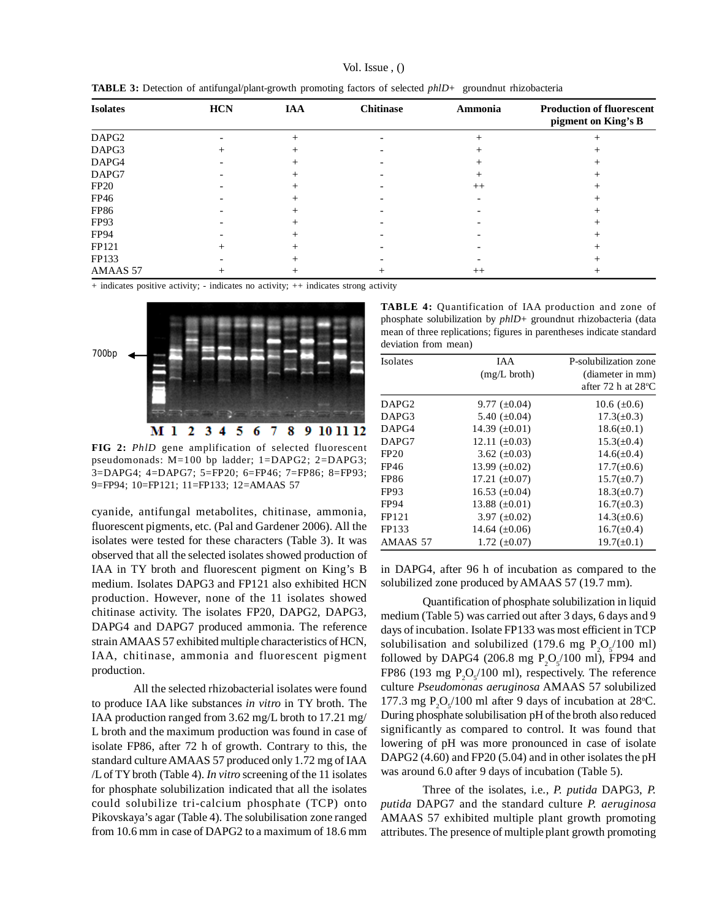| Vol. Issue, $()$ |  |  |
|------------------|--|--|
|------------------|--|--|

|  | <b>TABLE 3:</b> Detection of antifungal/plant-growth promoting factors of selected phlD+ groundnut rhizobacteria |
|--|------------------------------------------------------------------------------------------------------------------|
|  |                                                                                                                  |

| <b>Isolates</b>   | <b>HCN</b> | <b>IAA</b>      | <b>Chitinase</b> | Ammonia | <b>Production of fluorescent</b><br>pigment on King's B |
|-------------------|------------|-----------------|------------------|---------|---------------------------------------------------------|
| DAPG <sub>2</sub> |            | $^{+}$          |                  | $^{+}$  | $^{+}$                                                  |
| DAPG3             | $^{+}$     | $^+$            |                  | $^+$    |                                                         |
| DAPG4             |            | $^+$            |                  | +       |                                                         |
| DAPG7             |            | $^+$            |                  | $^+$    |                                                         |
| <b>FP20</b>       |            | $^{+}$          |                  | $++$    |                                                         |
| FP46              |            | ┿               |                  |         |                                                         |
| <b>FP86</b>       |            |                 |                  |         |                                                         |
| FP93              |            | +               |                  |         |                                                         |
| <b>FP94</b>       |            | $^{+}$          |                  |         |                                                         |
| FP121             |            | $^+$            |                  |         |                                                         |
| FP133             |            | $^+$            |                  |         |                                                         |
| AMAAS 57          |            | $^{\mathrm{+}}$ | $^+$             | $^{++}$ |                                                         |

+ indicates positive activity; - indicates no activity; ++ indicates strong activity



**FIG 2:** *PhlD* gene amplification of selected fluorescent pseudomonads: M=100 bp ladder; 1=DAPG2; 2=DAPG3; 3=DAPG4; 4=DAPG7; 5=FP20; 6=FP46; 7=FP86; 8=FP93; 9=FP94; 10=FP121; 11=FP133; 12=AMAAS 57

cyanide, antifungal metabolites, chitinase, ammonia, fluorescent pigments, etc. (Pal and Gardener 2006). All the isolates were tested for these characters (Table 3). It was observed that all the selected isolates showed production of IAA in TY broth and fluorescent pigment on King's B medium. Isolates DAPG3 and FP121 also exhibited HCN production. However, none of the 11 isolates showed chitinase activity. The isolates FP20, DAPG2, DAPG3, DAPG4 and DAPG7 produced ammonia. The reference strain AMAAS 57 exhibited multiple characteristics of HCN, IAA, chitinase, ammonia and fluorescent pigment production.

All the selected rhizobacterial isolates were found to produce IAA like substances *in vitro* in TY broth. The IAA production ranged from 3.62 mg/L broth to 17.21 mg/ L broth and the maximum production was found in case of isolate FP86, after 72 h of growth. Contrary to this, the standard culture AMAAS 57 produced only 1.72 mg of IAA /L of TY broth (Table 4). *In vitro* screening of the 11 isolates for phosphate solubilization indicated that all the isolates could solubilize tri-calcium phosphate (TCP) onto Pikovskaya's agar (Table 4). The solubilisation zone ranged from 10.6 mm in case of DAPG2 to a maximum of 18.6 mm

**TABLE 4:** Quantification of IAA production and zone of phosphate solubilization by *phlD*+ groundnut rhizobacteria (data mean of three replications; figures in parentheses indicate standard deviation from mean)

| <b>Isolates</b>   | <b>IAA</b>         | P-solubilization zone        |
|-------------------|--------------------|------------------------------|
|                   | $(mg/L)$ broth)    | (diameter in mm)             |
|                   |                    | after 72 h at $28^{\circ}$ C |
| DAPG <sub>2</sub> | 9.77 $(\pm 0.04)$  | 10.6 $(\pm 0.6)$             |
| DAPG3             | 5.40 $(\pm 0.04)$  | $17.3(\pm 0.3)$              |
| DAPG4             | 14.39 $(\pm 0.01)$ | $18.6(\pm 0.1)$              |
| DAPG7             | 12.11 $(\pm 0.03)$ | $15.3(\pm 0.4)$              |
| FP20              | 3.62 $(\pm 0.03)$  | $14.6(\pm 0.4)$              |
| FP46              | 13.99 $(\pm 0.02)$ | $17.7(\pm 0.6)$              |
| <b>FP86</b>       | 17.21 $(\pm 0.07)$ | $15.7(\pm 0.7)$              |
| <b>FP93</b>       | 16.53 $(\pm 0.04)$ | $18.3(\pm 0.7)$              |
| <b>FP94</b>       | 13.88 $(\pm 0.01)$ | $16.7(\pm 0.3)$              |
| FP121             | 3.97 $(\pm 0.02)$  | $14.3(\pm 0.6)$              |
| FP133             | 14.64 $(\pm 0.06)$ | $16.7(\pm 0.4)$              |
| AMAAS 57          | 1.72 $(\pm 0.07)$  | $19.7(\pm 0.1)$              |

in DAPG4, after 96 h of incubation as compared to the solubilized zone produced by AMAAS 57 (19.7 mm).

Quantification of phosphate solubilization in liquid medium (Table 5) was carried out after 3 days, 6 days and 9 days of incubation. Isolate FP133 was most efficient in TCP solubilisation and solubilized (179.6 mg  $P_2O_5/100$  ml) followed by DAPG4 (206.8 mg  $P_2O_5/100$  ml), FP94 and FP86 (193 mg  $P_2O_5/100$  ml), respectively. The reference culture *Pseudomonas aeruginosa* AMAAS 57 solubilized 177.3 mg  $P_2O_5/100$  ml after 9 days of incubation at 28°C. During phosphate solubilisation pH of the broth also reduced significantly as compared to control. It was found that lowering of pH was more pronounced in case of isolate DAPG2 (4.60) and FP20 (5.04) and in other isolates the pH was around 6.0 after 9 days of incubation (Table 5).

Three of the isolates, i.e., *P. putida* DAPG3, *P. putida* DAPG7 and the standard culture *P. aeruginosa* AMAAS 57 exhibited multiple plant growth promoting attributes. The presence of multiple plant growth promoting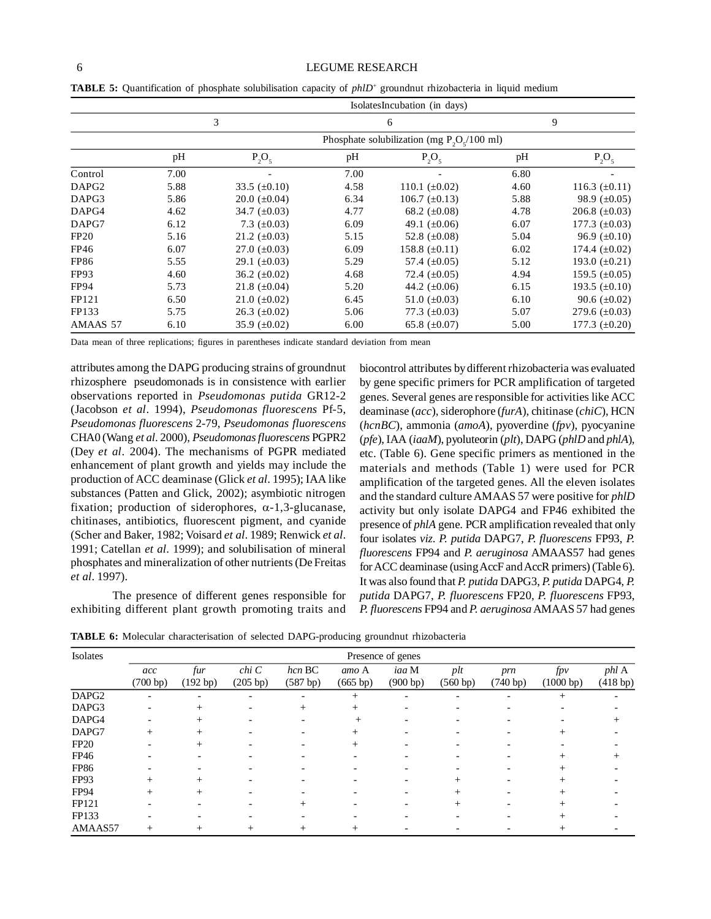#### 6 LEGUME RESEARCH

|                   |      |                          | IsolatesIncubation (in days) |                                               |      |                    |
|-------------------|------|--------------------------|------------------------------|-----------------------------------------------|------|--------------------|
|                   |      | 3                        |                              | 6                                             |      | 9                  |
|                   |      |                          |                              | Phosphate solubilization (mg $P_2O_2/100$ ml) |      |                    |
|                   | pH   | $P_2O_5$                 | pH                           | $P_2O_5$                                      | pH   | $P_2O_5$           |
| Control           | 7.00 | $\overline{\phantom{0}}$ | 7.00                         |                                               | 6.80 |                    |
| DAPG <sub>2</sub> | 5.88 | 33.5 $(\pm 0.10)$        | 4.58                         | 110.1 $(\pm 0.02)$                            | 4.60 | 116.3 $(\pm 0.11)$ |
| DAPG3             | 5.86 | $20.0~(\pm 0.04)$        | 6.34                         | 106.7 $(\pm 0.13)$                            | 5.88 | 98.9 $(\pm 0.05)$  |
| DAPG4             | 4.62 | 34.7 $(\pm 0.03)$        | 4.77                         | 68.2 $(\pm 0.08)$                             | 4.78 | 206.8 $(\pm 0.03)$ |
| DAPG7             | 6.12 | 7.3 $(\pm 0.03)$         | 6.09                         | 49.1 $(\pm 0.06)$                             | 6.07 | 177.3 $(\pm 0.03)$ |
| FP20              | 5.16 | 21.2 $(\pm 0.03)$        | 5.15                         | 52.8 $(\pm 0.08)$                             | 5.04 | 96.9 $(\pm 0.10)$  |
| FP46              | 6.07 | 27.0 $(\pm 0.03)$        | 6.09                         | 158.8 $(\pm 0.11)$                            | 6.02 | 174.4 $(\pm 0.02)$ |
| <b>FP86</b>       | 5.55 | 29.1 $(\pm 0.03)$        | 5.29                         | 57.4 $(\pm 0.05)$                             | 5.12 | 193.0 $(\pm 0.21)$ |
| FP <sub>93</sub>  | 4.60 | 36.2 $(\pm 0.02)$        | 4.68                         | 72.4 $(\pm 0.05)$                             | 4.94 | 159.5 $(\pm 0.05)$ |
| <b>FP94</b>       | 5.73 | 21.8 $(\pm 0.04)$        | 5.20                         | 44.2 $(\pm 0.06)$                             | 6.15 | 193.5 $(\pm 0.10)$ |
| FP121             | 6.50 | 21.0 $(\pm 0.02)$        | 6.45                         | 51.0 $(\pm 0.03)$                             | 6.10 | 90.6 $(\pm 0.02)$  |
| FP133             | 5.75 | 26.3 $(\pm 0.02)$        | 5.06                         | 77.3 $(\pm 0.03)$                             | 5.07 | 279.6 $(\pm 0.03)$ |
| AMAAS 57          | 6.10 | 35.9 $(\pm 0.02)$        | 6.00                         | 65.8 $(\pm 0.07)$                             | 5.00 | 177.3 $(\pm 0.20)$ |

**TABLE 5:** Quantification of phosphate solubilisation capacity of *phlD*<sup>+</sup> groundnut rhizobacteria in liquid medium

Data mean of three replications; figures in parentheses indicate standard deviation from mean

attributes among the DAPG producing strains of groundnut rhizosphere pseudomonads is in consistence with earlier observations reported in *Pseudomonas putida* GR12-2 (Jacobson *et al*. 1994), *Pseudomonas fluorescens* Pf-5, *Pseudomonas fluorescens* 2-79, *Pseudomonas fluorescens* CHA0 (Wang *et al*. 2000), *Pseudomonas fluorescens* PGPR2 (Dey *et al*. 2004). The mechanisms of PGPR mediated enhancement of plant growth and yields may include the production of ACC deaminase (Glick *et al*. 1995); IAA like substances (Patten and Glick, 2002); asymbiotic nitrogen fixation; production of siderophores,  $\alpha$ -1,3-glucanase, chitinases, antibiotics, fluorescent pigment, and cyanide (Scher and Baker, 1982; Voisard *et al*. 1989; Renwick *et al*. 1991; Catellan *et al*. 1999); and solubilisation of mineral phosphates and mineralization of other nutrients (De Freitas *et al*. 1997).

The presence of different genes responsible for exhibiting different plant growth promoting traits and

biocontrol attributes by different rhizobacteria was evaluated by gene specific primers for PCR amplification of targeted genes. Several genes are responsible for activities like ACC deaminase (*acc*), siderophore (*furA*), chitinase (*chiC*), HCN (*hcnBC*), ammonia (*amoA*), pyoverdine (*fpv*), pyocyanine (*pfe*), IAA (*iaaM*), pyoluteorin (*plt*), DAPG (*phlD* and *phlA*), etc. (Table 6). Gene specific primers as mentioned in the materials and methods (Table 1) were used for PCR amplification of the targeted genes. All the eleven isolates and the standard culture AMAAS 57 were positive for *phlD* activity but only isolate DAPG4 and FP46 exhibited the presence of *phlA* gene. PCR amplification revealed that only four isolates *viz*. *P. putida* DAPG7, *P. fluorescens* FP93, *P. fluorescens* FP94 and *P. aeruginosa* AMAAS57 had genes for ACC deaminase (using AccF and AccR primers) (Table 6). It was also found that *P. putida* DAPG3, *P. putida* DAPG4, *P. putida* DAPG7, *P. fluorescens* FP20, *P. fluorescens* FP93, *P. fluorescens* FP94 and *P. aeruginosa* AMAAS 57 had genes

**TABLE 6:** Molecular characterisation of selected DAPG-producing groundnut rhizobacteria

| Isolates          | Presence of genes        |                 |                   |                    |                   |                   |                          |                 |                  |                   |
|-------------------|--------------------------|-----------------|-------------------|--------------------|-------------------|-------------------|--------------------------|-----------------|------------------|-------------------|
|                   | acc<br>(700 bp)          | fur<br>(192 bp) | chi C<br>(205 bp) | hcn BC<br>(587 bp) | amo A<br>(665 bp) | iaa M<br>(900 bp) | plt<br>(560 bp)          | prn<br>(740 bp) | fpv<br>(1000 bp) | phl A<br>(418 bp) |
| DAPG <sub>2</sub> |                          |                 |                   |                    | $^{+}$            |                   |                          |                 | $^{+}$           |                   |
| DAPG3             | $\overline{\phantom{a}}$ | $^{+}$          |                   | $^{+}$             | $^{+}$            |                   | $\overline{\phantom{0}}$ |                 |                  |                   |
| DAPG4             |                          | $^{+}$          |                   |                    | $^+$              |                   |                          |                 |                  |                   |
| DAPG7             | $+$                      | $^+$            |                   |                    | $^+$              |                   |                          |                 | $^{+}$           |                   |
| <b>FP20</b>       |                          | $^{+}$          |                   |                    | $^{+}$            |                   |                          |                 |                  |                   |
| FP46              |                          |                 |                   |                    |                   |                   |                          |                 | $^{+}$           |                   |
| <b>FP86</b>       |                          |                 |                   |                    |                   |                   |                          |                 | $^{+}$           |                   |
| FP93              | $+$                      | $^{+}$          |                   |                    |                   |                   | $^+$                     |                 | $^{+}$           |                   |
| <b>FP94</b>       | $^{+}$                   | $^+$            |                   |                    |                   |                   | $^{+}$                   |                 | $^{+}$           |                   |
| FP121             |                          |                 |                   | $^{+}$             |                   |                   | $^{+}$                   |                 | $^{+}$           |                   |
| FP133             |                          |                 |                   |                    |                   |                   |                          |                 |                  |                   |
| AMAAS57           | $+$                      | $\overline{+}$  |                   |                    |                   |                   |                          |                 |                  |                   |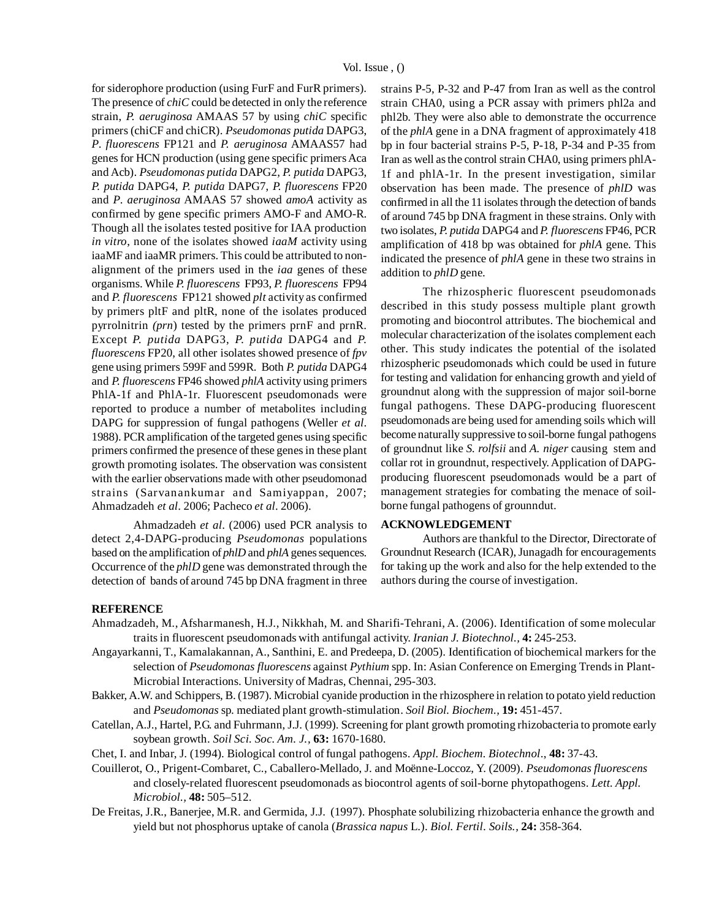for siderophore production (using FurF and FurR primers). The presence of *chiC* could be detected in only the reference strain, *P. aeruginosa* AMAAS 57 by using *chiC* specific primers (chiCF and chiCR). *Pseudomonas putida* DAPG3, *P*. *fluorescens* FP121 and *P. aeruginosa* AMAAS57 had genes for HCN production (using gene specific primers Aca and Acb). *Pseudomonas putida* DAPG2, *P. putida* DAPG3, *P. putida* DAPG4, *P. putida* DAPG7, *P. fluorescens* FP20 and *P*. *aeruginosa* AMAAS 57 showed *amoA* activity as confirmed by gene specific primers AMO-F and AMO-R. Though all the isolates tested positive for IAA production *in vitro*, none of the isolates showed *iaaM* activity using iaaMF and iaaMR primers. This could be attributed to nonalignment of the primers used in the *iaa* genes of these organisms. While *P. fluorescens* FP93, *P. fluorescens* FP94 and *P. fluorescens* FP121 showed *plt* activity as confirmed by primers pltF and pltR, none of the isolates produced pyrrolnitrin *(prn*) tested by the primers prnF and prnR. Except *P. putida* DAPG3, *P. putida* DAPG4 and *P. fluorescens* FP20, all other isolates showed presence of *fpv* gene using primers 599F and 599R. Both *P. putida* DAPG4 and *P. fluorescens* FP46 showed *phlA* activity using primers PhlA-1f and PhlA-1r. Fluorescent pseudomonads were reported to produce a number of metabolites including DAPG for suppression of fungal pathogens (Weller *et al*. 1988). PCR amplification of the targeted genes using specific primers confirmed the presence of these genes in these plant growth promoting isolates. The observation was consistent with the earlier observations made with other pseudomonad strains (Sarvanankumar and Samiyappan, 2007; Ahmadzadeh *et al*. 2006; Pacheco *et al*. 2006).

Ahmadzadeh *et al*. (2006) used PCR analysis to detect 2,4-DAPG-producing *Pseudomonas* populations based on the amplification of *phlD* and *phlA* genes sequences. Occurrence of the *phlD* gene was demonstrated through the detection of bands of around 745 bp DNA fragment in three strains P-5, P-32 and P-47 from Iran as well as the control strain CHA0, using a PCR assay with primers phl2a and phl2b. They were also able to demonstrate the occurrence of the *phlA* gene in a DNA fragment of approximately 418 bp in four bacterial strains P-5, P-18, P-34 and P-35 from Iran as well as the control strain CHA0, using primers phlA-1f and phlA-1r. In the present investigation, similar observation has been made. The presence of *phlD* was confirmed in all the 11 isolates through the detection of bands of around 745 bp DNA fragment in these strains. Only with two isolates, *P. putida* DAPG4 and *P. fluorescens* FP46, PCR amplification of 418 bp was obtained for *phlA* gene. This indicated the presence of *phlA* gene in these two strains in addition to *phlD* gene.

The rhizospheric fluorescent pseudomonads described in this study possess multiple plant growth promoting and biocontrol attributes. The biochemical and molecular characterization of the isolates complement each other. This study indicates the potential of the isolated rhizospheric pseudomonads which could be used in future for testing and validation for enhancing growth and yield of groundnut along with the suppression of major soil-borne fungal pathogens. These DAPG-producing fluorescent pseudomonads are being used for amending soils which will become naturally suppressive to soil-borne fungal pathogens of groundnut like *S. rolfsii* and *A. niger* causing stem and collar rot in groundnut, respectively. Application of DAPGproducing fluorescent pseudomonads would be a part of management strategies for combating the menace of soilborne fungal pathogens of grounndut.

# **ACKNOWLEDGEMENT**

Authors are thankful to the Director, Directorate of Groundnut Research (ICAR), Junagadh for encouragements for taking up the work and also for the help extended to the authors during the course of investigation.

#### **REFERENCE**

- Ahmadzadeh, M., Afsharmanesh, H.J., Nikkhah, M. and Sharifi-Tehrani, A. (2006). Identification of some molecular traits in fluorescent pseudomonads with antifungal activity. *Iranian J. Biotechnol.,* **4:** 245-253.
- Angayarkanni, T., Kamalakannan, A., Santhini, E. and Predeepa, D. (2005). Identification of biochemical markers for the selection of *Pseudomonas fluorescens* against *Pythium* spp. In: Asian Conference on Emerging Trends in Plant-Microbial Interactions. University of Madras, Chennai, 295-303.
- Bakker, A.W. and Schippers, B. (1987). Microbial cyanide production in the rhizosphere in relation to potato yield reduction and *Pseudomonas* sp*.* mediated plant growth-stimulation. *Soil Biol. Biochem.,* **19:** 451-457.
- Catellan, A.J., Hartel, P.G. and Fuhrmann, J.J. (1999). Screening for plant growth promoting rhizobacteria to promote early soybean growth. *Soil Sci. Soc. Am. J.,* **63:** 1670-1680.
- Chet, I. and Inbar, J. (1994). Biological control of fungal pathogens. *Appl. Biochem. Biotechnol*., **48:** 37-43.
- Couillerot, O., Prigent-Combaret, C., Caballero-Mellado, J. and Moënne-Loccoz, Y. (2009). *Pseudomonas fluorescens* and closely-related fluorescent pseudomonads as biocontrol agents of soil-borne phytopathogens. *Lett. Appl. Microbiol.,* **48:** 505–512.
- De Freitas, J.R., Banerjee, M.R. and Germida, J.J. (1997). Phosphate solubilizing rhizobacteria enhance the growth and yield but not phosphorus uptake of canola (*Brassica napus* L.). *Biol. Fertil. Soils.,* **24:** 358-364.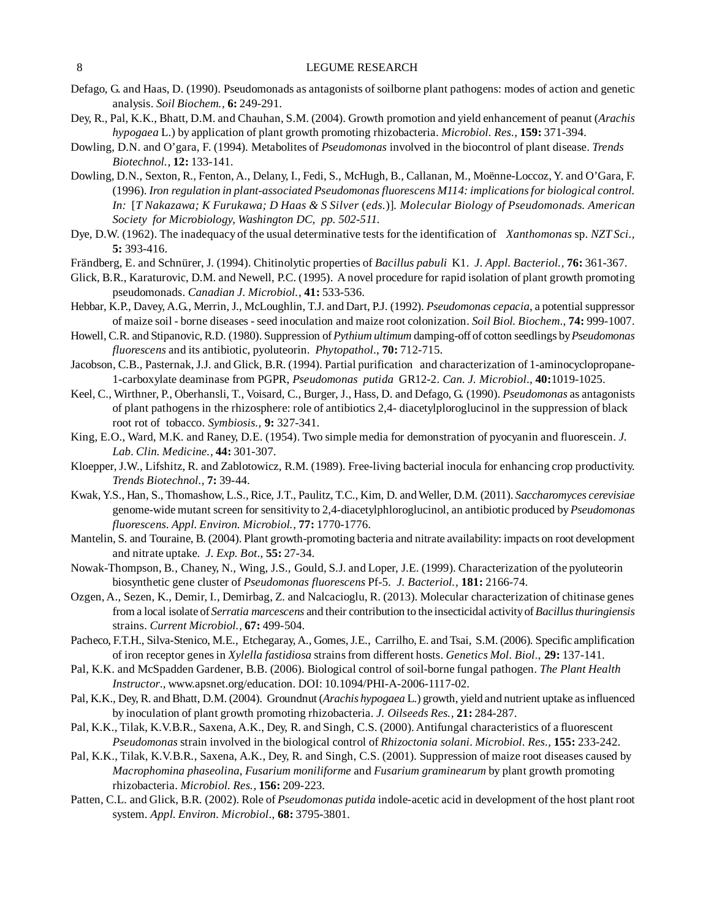## 8 LEGUME RESEARCH

- Defago, G. and Haas, D. (1990). Pseudomonads as antagonists of soilborne plant pathogens: modes of action and genetic analysis. *Soil Biochem.,* **6:** 249-291.
- Dey, R., Pal, K.K., Bhatt, D.M. and Chauhan, S.M. (2004). Growth promotion and yield enhancement of peanut (*Arachis hypogaea* L.) by application of plant growth promoting rhizobacteria. *Microbiol. Res.,* **159:** 371-394.
- Dowling, D.N. and O'gara, F. (1994). Metabolites of *Pseudomonas* involved in the biocontrol of plant disease. *Trends Biotechnol.,* **12:** 133-141.
- Dowling, D.N., Sexton, R., Fenton, A., Delany, I., Fedi, S., McHugh, B., Callanan, M., Moënne-Loccoz, Y. and O'Gara, F. (1996). *Iron regulation in plant-associated Pseudomonas fluorescens M114: implications for biological control. In:* [*T Nakazawa; K Furukawa; D Haas & S Silver* (*eds.*)]*. Molecular Biology of Pseudomonads. American Society for Microbiology, Washington DC, pp. 502-511.*
- Dye, D.W. (1962). The inadequacy of the usual determinative tests for the identification of *Xanthomonas* sp. *NZT Sci.,* **5:** 393-416.
- Frändberg, E. and Schnürer, J. (1994). Chitinolytic properties of *Bacillus pabuli* K1. *J*. *Appl. Bacteriol.,* **76:** 361-367.
- Glick, B.R., Karaturovic, D.M. and Newell, P.C. (1995). A novel procedure for rapid isolation of plant growth promoting pseudomonads. *Canadian J. Microbiol.,* **41:** 533-536.
- Hebbar, K.P., Davey, A.G., Merrin, J., McLoughlin, T.J. and Dart, P.J. (1992). *Pseudomonas cepacia*, a potential suppressor of maize soil - borne diseases - seed inoculation and maize root colonization. *Soil Biol. Biochem*., **74:** 999-1007.
- Howell, C.R. and Stipanovic, R.D. (1980). Suppression of *Pythium ultimum* damping-off of cotton seedlings by *Pseudomonas fluorescens* and its antibiotic, pyoluteorin. *Phytopathol*., **70:** 712-715.
- Jacobson, C.B., Pasternak, J.J. and Glick, B.R. (1994). Partial purification and characterization of 1-aminocyclopropane-1-carboxylate deaminase from PGPR, *Pseudomonas putida* GR12-2. *Can. J. Microbiol*., **40:**1019-1025.
- Keel, C., Wirthner, P., Oberhansli, T., Voisard, C., Burger, J., Hass, D. and Defago, G. (1990). *Pseudomonas* as antagonists of plant pathogens in the rhizosphere: role of antibiotics 2,4- diacetylploroglucinol in the suppression of black root rot of tobacco. *Symbiosis.,* **9:** 327-341.
- King, E.O., Ward, M.K. and Raney, D.E. (1954). Two simple media for demonstration of pyocyanin and fluorescein. *J. Lab. Clin. Medicine.,* **44:** 301-307.
- Kloepper, J.W., Lifshitz, R. and Zablotowicz, R.M. (1989). Free-living bacterial inocula for enhancing crop productivity. *Trends Biotechnol.,* **7:** 39-44.
- Kwak, Y.S., Han, S., Thomashow, L.S., Rice, J.T., Paulitz, T.C., Kim, D. and Weller, D.M. (2011). *Saccharomyces cerevisiae* genome-wide mutant screen for sensitivity to 2,4-diacetylphloroglucinol, an antibiotic produced by *Pseudomonas fluorescens*. *Appl. Environ. Microbiol.,* **77:** 1770-1776.
- Mantelin, S. and Touraine, B. (2004). Plant growth-promoting bacteria and nitrate availability: impacts on root development and nitrate uptake. *J. Exp. Bot*., **55:** 27-34.
- Nowak-Thompson, B., Chaney, N., Wing, J.S., Gould, S.J. and Loper, J.E. (1999). Characterization of the pyoluteorin biosynthetic gene cluster of *Pseudomonas fluorescens* Pf-5. *J. Bacteriol.,* **181:** 2166-74.
- Ozgen, A., Sezen, K., Demir, I., Demirbag, Z. and Nalcacioglu, R. (2013). Molecular characterization of chitinase genes from a local isolate of *Serratia marcescens* and their contribution to the insecticidal activity of *Bacillus thuringiensis* strains. *Current Microbiol.,* **67:** 499-504.
- Pacheco, F.T.H., Silva-Stenico, M.E., Etchegaray, A., Gomes, J.E., Carrilho, E. and Tsai, S.M. (2006). Specific amplification of iron receptor genes in *Xylella fastidiosa* strains from different hosts. *Genetics Mol. Biol*., **29:** 137-141.
- Pal, K.K. and McSpadden Gardener, B.B. (2006). Biological control of soil-borne fungal pathogen. *The Plant Health Instructor*., www.apsnet.org/education. DOI: 10.1094/PHI-A-2006-1117-02.
- Pal, K.K., Dey, R. and Bhatt, D.M. (2004). Groundnut (*Arachis hypogaea* L.) growth, yield and nutrient uptake as influenced by inoculation of plant growth promoting rhizobacteria. *J. Oilseeds Res.,* **21:** 284-287.
- Pal, K.K., Tilak, K.V.B.R., Saxena, A.K., Dey, R. and Singh, C.S. (2000). Antifungal characteristics of a fluorescent *Pseudomonas* strain involved in the biological control of *Rhizoctonia solani*. *Microbiol. Res.,* **155:** 233-242.
- Pal, K.K., Tilak, K.V.B.R., Saxena, A.K., Dey, R. and Singh, C.S. (2001). Suppression of maize root diseases caused by *Macrophomina phaseolina*, *Fusarium moniliforme* and *Fusarium graminearum* by plant growth promoting rhizobacteria. *Microbiol. Res.,* **156:** 209-223.
- Patten, C.L. and Glick, B.R. (2002). Role of *Pseudomonas putida* indole-acetic acid in development of the host plant root system. *Appl. Environ. Microbiol*., **68:** 3795-3801.